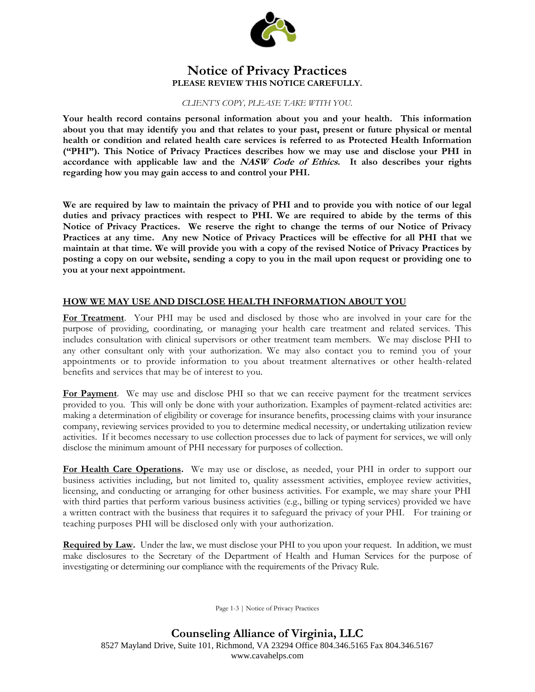

### **Notice of Privacy Practices PLEASE REVIEW THIS NOTICE CAREFULLY.**

*CLIENT'S COPY, PLEASE TAKE WITH YOU.*

**Your health record contains personal information about you and your health. This information about you that may identify you and that relates to your past, present or future physical or mental health or condition and related health care services is referred to as Protected Health Information ("PHI"). This Notice of Privacy Practices describes how we may use and disclose your PHI in accordance with applicable law and the NASW Code of Ethics. It also describes your rights regarding how you may gain access to and control your PHI.** 

**We are required by law to maintain the privacy of PHI and to provide you with notice of our legal duties and privacy practices with respect to PHI. We are required to abide by the terms of this Notice of Privacy Practices. We reserve the right to change the terms of our Notice of Privacy Practices at any time. Any new Notice of Privacy Practices will be effective for all PHI that we maintain at that time. We will provide you with a copy of the revised Notice of Privacy Practices by posting a copy on our website, sending a copy to you in the mail upon request or providing one to you at your next appointment.** 

### **HOW WE MAY USE AND DISCLOSE HEALTH INFORMATION ABOUT YOU**

**For Treatment**.Your PHI may be used and disclosed by those who are involved in your care for the purpose of providing, coordinating, or managing your health care treatment and related services. This includes consultation with clinical supervisors or other treatment team members. We may disclose PHI to any other consultant only with your authorization. We may also contact you to remind you of your appointments or to provide information to you about treatment alternatives or other health-related benefits and services that may be of interest to you.

**For Payment**. We may use and disclose PHI so that we can receive payment for the treatment services provided to you. This will only be done with your authorization. Examples of payment-related activities are: making a determination of eligibility or coverage for insurance benefits, processing claims with your insurance company, reviewing services provided to you to determine medical necessity, or undertaking utilization review activities. If it becomes necessary to use collection processes due to lack of payment for services, we will only disclose the minimum amount of PHI necessary for purposes of collection.

**For Health Care Operations.** We may use or disclose, as needed, your PHI in order to support our business activities including, but not limited to, quality assessment activities, employee review activities, licensing, and conducting or arranging for other business activities. For example, we may share your PHI with third parties that perform various business activities (e.g., billing or typing services) provided we have a written contract with the business that requires it to safeguard the privacy of your PHI. For training or teaching purposes PHI will be disclosed only with your authorization.

**Required by Law.** Under the law, we must disclose your PHI to you upon your request. In addition, we must make disclosures to the Secretary of the Department of Health and Human Services for the purpose of investigating or determining our compliance with the requirements of the Privacy Rule.

Page 1-3 | Notice of Privacy Practices

## **Counseling Alliance of Virginia, LLC** 8527 Mayland Drive, Suite 101, Richmond, VA 23294 Office 804.346.5165 Fax 804.346.5167 www.cavahelps.com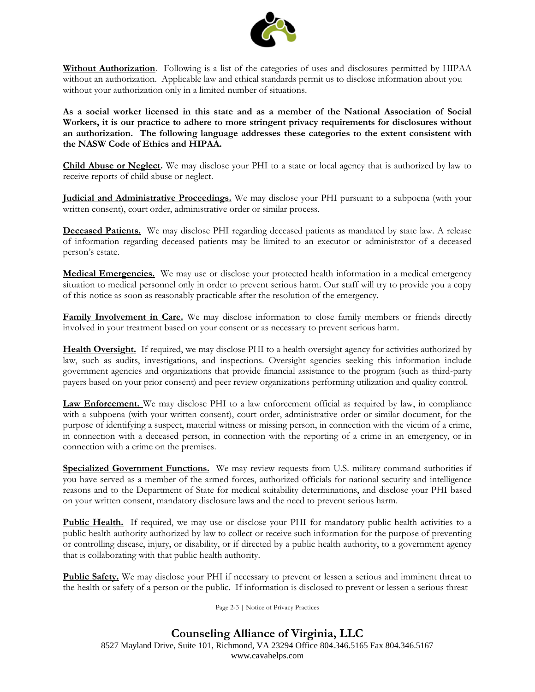

**Without Authorization**. Following is a list of the categories of uses and disclosures permitted by HIPAA without an authorization. Applicable law and ethical standards permit us to disclose information about you without your authorization only in a limited number of situations.

**As a social worker licensed in this state and as a member of the National Association of Social Workers, it is our practice to adhere to more stringent privacy requirements for disclosures without an authorization. The following language addresses these categories to the extent consistent with the NASW Code of Ethics and HIPAA.**

**Child Abuse or Neglect.** We may disclose your PHI to a state or local agency that is authorized by law to receive reports of child abuse or neglect.

**Judicial and Administrative Proceedings.** We may disclose your PHI pursuant to a subpoena (with your written consent), court order, administrative order or similar process.

**Deceased Patients.** We may disclose PHI regarding deceased patients as mandated by state law. A release of information regarding deceased patients may be limited to an executor or administrator of a deceased person's estate.

**Medical Emergencies.** We may use or disclose your protected health information in a medical emergency situation to medical personnel only in order to prevent serious harm. Our staff will try to provide you a copy of this notice as soon as reasonably practicable after the resolution of the emergency.

**Family Involvement in Care.** We may disclose information to close family members or friends directly involved in your treatment based on your consent or as necessary to prevent serious harm.

**Health Oversight.** If required, we may disclose PHI to a health oversight agency for activities authorized by law, such as audits, investigations, and inspections. Oversight agencies seeking this information include government agencies and organizations that provide financial assistance to the program (such as third-party payers based on your prior consent) and peer review organizations performing utilization and quality control.

**Law Enforcement.** We may disclose PHI to a law enforcement official as required by law, in compliance with a subpoena (with your written consent), court order, administrative order or similar document, for the purpose of identifying a suspect, material witness or missing person, in connection with the victim of a crime, in connection with a deceased person, in connection with the reporting of a crime in an emergency, or in connection with a crime on the premises.

**Specialized Government Functions.** We may review requests from U.S. military command authorities if you have served as a member of the armed forces, authorized officials for national security and intelligence reasons and to the Department of State for medical suitability determinations, and disclose your PHI based on your written consent, mandatory disclosure laws and the need to prevent serious harm.

**Public Health.** If required, we may use or disclose your PHI for mandatory public health activities to a public health authority authorized by law to collect or receive such information for the purpose of preventing or controlling disease, injury, or disability, or if directed by a public health authority, to a government agency that is collaborating with that public health authority.

**Public Safety.** We may disclose your PHI if necessary to prevent or lessen a serious and imminent threat to the health or safety of a person or the public. If information is disclosed to prevent or lessen a serious threat

Page 2-3 | Notice of Privacy Practices

## **Counseling Alliance of Virginia, LLC**

8527 Mayland Drive, Suite 101, Richmond, VA 23294 Office 804.346.5165 Fax 804.346.5167 www.cavahelps.com